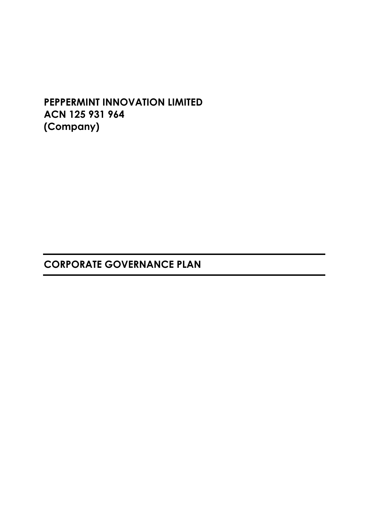# **PEPPERMINT INNOVATION LIMITED ACN 125 931 964 (Company)**

# **CORPORATE GOVERNANCE PLAN**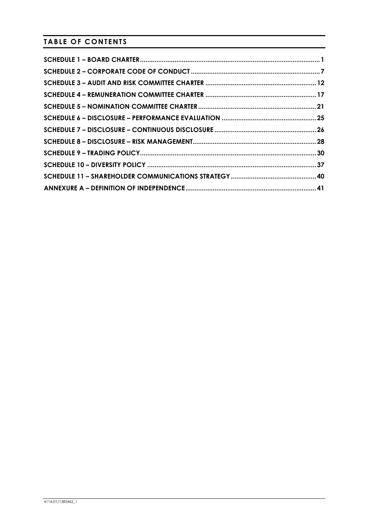**TABLE OF CONTENTS**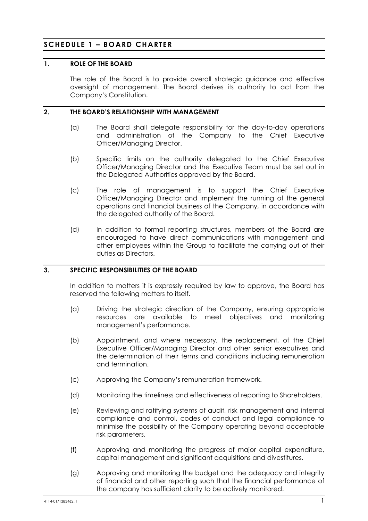# **SCHEDULE 1 – BOARD CHARTER**

#### **1. ROLE OF THE BOARD**

The role of the Board is to provide overall strategic guidance and effective oversight of management. The Board derives its authority to act from the Company's Constitution.

### **2. THE BOARD'S RELATIONSHIP WITH MANAGEMENT**

- (a) The Board shall delegate responsibility for the day-to-day operations and administration of the Company to the Chief Executive Officer/Managing Director.
- (b) Specific limits on the authority delegated to the Chief Executive Officer/Managing Director and the Executive Team must be set out in the Delegated Authorities approved by the Board.
- (c) The role of management is to support the Chief Executive Officer/Managing Director and implement the running of the general operations and financial business of the Company, in accordance with the delegated authority of the Board.
- (d) In addition to formal reporting structures, members of the Board are encouraged to have direct communications with management and other employees within the Group to facilitate the carrying out of their duties as Directors.

# **3. SPECIFIC RESPONSIBILITIES OF THE BOARD**

In addition to matters it is expressly required by law to approve, the Board has reserved the following matters to itself.

- (a) Driving the strategic direction of the Company, ensuring appropriate resources are available to meet objectives and monitoring management's performance.
- (b) Appointment, and where necessary, the replacement, of the Chief Executive Officer/Managing Director and other senior executives and the determination of their terms and conditions including remuneration and termination.
- (c) Approving the Company's remuneration framework.
- (d) Monitoring the timeliness and effectiveness of reporting to Shareholders.
- (e) Reviewing and ratifying systems of audit, risk management and internal compliance and control, codes of conduct and legal compliance to minimise the possibility of the Company operating beyond acceptable risk parameters.
- (f) Approving and monitoring the progress of major capital expenditure, capital management and significant acquisitions and divestitures.
- (g) Approving and monitoring the budget and the adequacy and integrity of financial and other reporting such that the financial performance of the company has sufficient clarity to be actively monitored.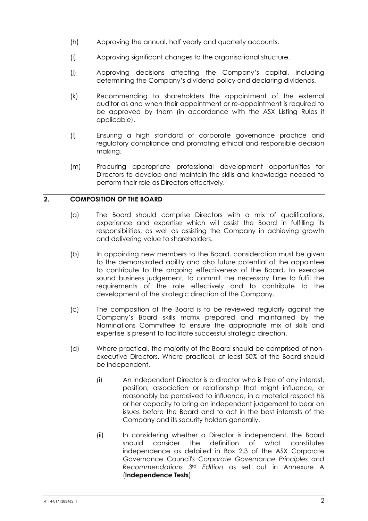- (h) Approving the annual, half yearly and quarterly accounts.
- (i) Approving significant changes to the organisational structure.
- (j) Approving decisions affecting the Company's capital, including determining the Company's dividend policy and declaring dividends.
- (k) Recommending to shareholders the appointment of the external auditor as and when their appointment or re-appointment is required to be approved by them (in accordance with the ASX Listing Rules if applicable).
- (l) Ensuring a high standard of corporate governance practice and regulatory compliance and promoting ethical and responsible decision making.
- (m) Procuring appropriate professional development opportunities for Directors to develop and maintain the skills and knowledge needed to perform their role as Directors effectively.

# **2. COMPOSITION OF THE BOARD**

- (a) The Board should comprise Directors with a mix of qualifications, experience and expertise which will assist the Board in fulfilling its responsibilities, as well as assisting the Company in achieving growth and delivering value to shareholders.
- (b) In appointing new members to the Board, consideration must be given to the demonstrated ability and also future potential of the appointee to contribute to the ongoing effectiveness of the Board, to exercise sound business judgement, to commit the necessary time to fulfil the requirements of the role effectively and to contribute to the development of the strategic direction of the Company.
- (c) The composition of the Board is to be reviewed regularly against the Company's Board skills matrix prepared and maintained by the Nominations Committee to ensure the appropriate mix of skills and expertise is present to facilitate successful strategic direction.
- (d) Where practical, the majority of the Board should be comprised of nonexecutive Directors. Where practical, at least 50% of the Board should be independent.
	- (i) An independent Director is a director who is free of any interest, position, association or relationship that might influence, or reasonably be perceived to influence, in a material respect his or her capacity to bring an independent judgement to bear on issues before the Board and to act in the best interests of the Company and its security holders generally.
	- (ii) In considering whether a Director is independent, the Board should consider the definition of what constitutes independence as detailed in Box 2.3 of the ASX Corporate Governance Council's *Corporate Governance Principles and Recommendations 3rd Edition* as set out in Annexure A (**Independence Tests**).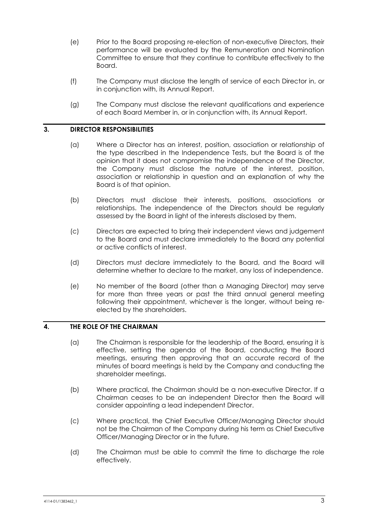- (e) Prior to the Board proposing re-election of non-executive Directors, their performance will be evaluated by the Remuneration and Nomination Committee to ensure that they continue to contribute effectively to the Board.
- (f) The Company must disclose the length of service of each Director in, or in conjunction with, its Annual Report.
- (g) The Company must disclose the relevant qualifications and experience of each Board Member in, or in conjunction with, its Annual Report.

# **3. DIRECTOR RESPONSIBILITIES**

- (a) Where a Director has an interest, position, association or relationship of the type described in the Independence Tests, but the Board is of the opinion that it does not compromise the independence of the Director, the Company must disclose the nature of the interest, position, association or relationship in question and an explanation of why the Board is of that opinion.
- (b) Directors must disclose their interests, positions, associations or relationships. The independence of the Directors should be regularly assessed by the Board in light of the interests disclosed by them.
- (c) Directors are expected to bring their independent views and judgement to the Board and must declare immediately to the Board any potential or active conflicts of interest.
- (d) Directors must declare immediately to the Board, and the Board will determine whether to declare to the market, any loss of independence.
- (e) No member of the Board (other than a Managing Director) may serve for more than three years or past the third annual general meeting following their appointment, whichever is the longer, without being reelected by the shareholders.

# **4. THE ROLE OF THE CHAIRMAN**

- (a) The Chairman is responsible for the leadership of the Board, ensuring it is effective, setting the agenda of the Board, conducting the Board meetings, ensuring then approving that an accurate record of the minutes of board meetings is held by the Company and conducting the shareholder meetings.
- (b) Where practical, the Chairman should be a non-executive Director. If a Chairman ceases to be an independent Director then the Board will consider appointing a lead independent Director.
- (c) Where practical, the Chief Executive Officer/Managing Director should not be the Chairman of the Company during his term as Chief Executive Officer/Managing Director or in the future.
- (d) The Chairman must be able to commit the time to discharge the role effectively.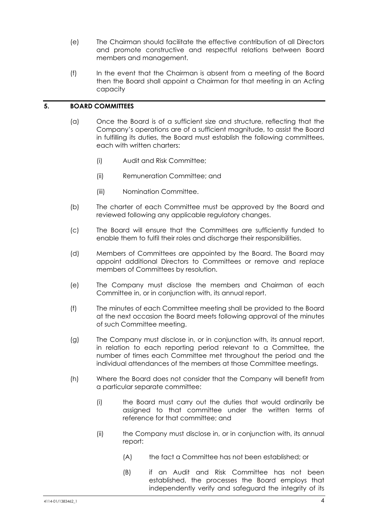- (e) The Chairman should facilitate the effective contribution of all Directors and promote constructive and respectful relations between Board members and management.
- (f) In the event that the Chairman is absent from a meeting of the Board then the Board shall appoint a Chairman for that meeting in an Acting capacity

# **5. BOARD COMMITTEES**

- (a) Once the Board is of a sufficient size and structure, reflecting that the Company's operations are of a sufficient magnitude, to assist the Board in fulfilling its duties, the Board must establish the following committees, each with written charters:
	- (i) Audit and Risk Committee;
	- (ii) Remuneration Committee; and
	- (iii) Nomination Committee.
- (b) The charter of each Committee must be approved by the Board and reviewed following any applicable regulatory changes.
- (c) The Board will ensure that the Committees are sufficiently funded to enable them to fulfil their roles and discharge their responsibilities.
- (d) Members of Committees are appointed by the Board. The Board may appoint additional Directors to Committees or remove and replace members of Committees by resolution.
- (e) The Company must disclose the members and Chairman of each Committee in, or in conjunction with, its annual report.
- (f) The minutes of each Committee meeting shall be provided to the Board at the next occasion the Board meets following approval of the minutes of such Committee meeting.
- (g) The Company must disclose in, or in conjunction with, its annual report, in relation to each reporting period relevant to a Committee, the number of times each Committee met throughout the period and the individual attendances of the members at those Committee meetings.
- (h) Where the Board does not consider that the Company will benefit from a particular separate committee:
	- (i) the Board must carry out the duties that would ordinarily be assigned to that committee under the written terms of reference for that committee; and
	- (ii) the Company must disclose in, or in conjunction with, its annual report:
		- (A) the fact a Committee has not been established; or
		- (B) if an Audit and Risk Committee has not been established, the processes the Board employs that independently verify and safeguard the integrity of its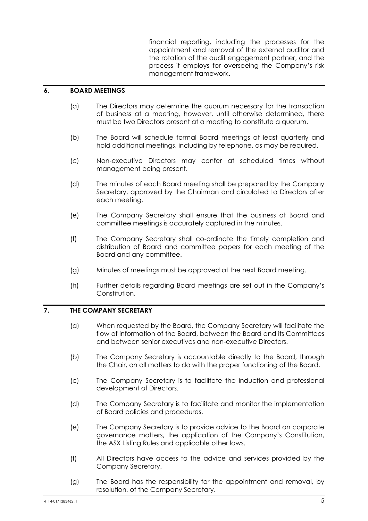financial reporting, including the processes for the appointment and removal of the external auditor and the rotation of the audit engagement partner, and the process it employs for overseeing the Company's risk management framework.

#### **6. BOARD MEETINGS**

- (a) The Directors may determine the quorum necessary for the transaction of business at a meeting, however, until otherwise determined, there must be two Directors present at a meeting to constitute a quorum.
- (b) The Board will schedule formal Board meetings at least quarterly and hold additional meetings, including by telephone, as may be required.
- (c) Non-executive Directors may confer at scheduled times without management being present.
- (d) The minutes of each Board meeting shall be prepared by the Company Secretary, approved by the Chairman and circulated to Directors after each meeting.
- (e) The Company Secretary shall ensure that the business at Board and committee meetings is accurately captured in the minutes.
- (f) The Company Secretary shall co-ordinate the timely completion and distribution of Board and committee papers for each meeting of the Board and any committee.
- (g) Minutes of meetings must be approved at the next Board meeting.
- (h) Further details regarding Board meetings are set out in the Company's Constitution.

# **7. THE COMPANY SECRETARY**

- (a) When requested by the Board, the Company Secretary will facilitate the flow of information of the Board, between the Board and its Committees and between senior executives and non-executive Directors.
- (b) The Company Secretary is accountable directly to the Board, through the Chair, on all matters to do with the proper functioning of the Board.
- (c) The Company Secretary is to facilitate the induction and professional development of Directors.
- (d) The Company Secretary is to facilitate and monitor the implementation of Board policies and procedures.
- (e) The Company Secretary is to provide advice to the Board on corporate governance matters, the application of the Company's Constitution, the ASX Listing Rules and applicable other laws.
- (f) All Directors have access to the advice and services provided by the Company Secretary.
- (g) The Board has the responsibility for the appointment and removal, by resolution, of the Company Secretary.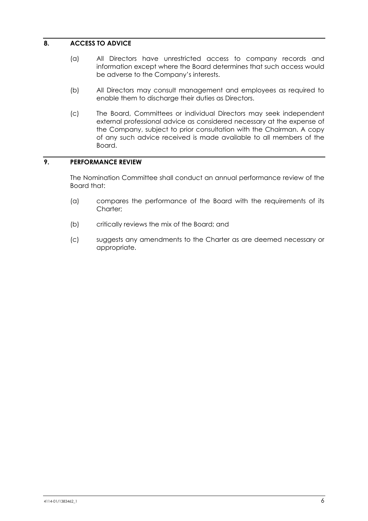# **8. ACCESS TO ADVICE**

- (a) All Directors have unrestricted access to company records and information except where the Board determines that such access would be adverse to the Company's interests.
- (b) All Directors may consult management and employees as required to enable them to discharge their duties as Directors.
- (c) The Board, Committees or individual Directors may seek independent external professional advice as considered necessary at the expense of the Company, subject to prior consultation with the Chairman. A copy of any such advice received is made available to all members of the Board.

# **9. PERFORMANCE REVIEW**

The Nomination Committee shall conduct an annual performance review of the Board that:

- (a) compares the performance of the Board with the requirements of its Charter<sup>.</sup>
- (b) critically reviews the mix of the Board; and
- (c) suggests any amendments to the Charter as are deemed necessary or appropriate.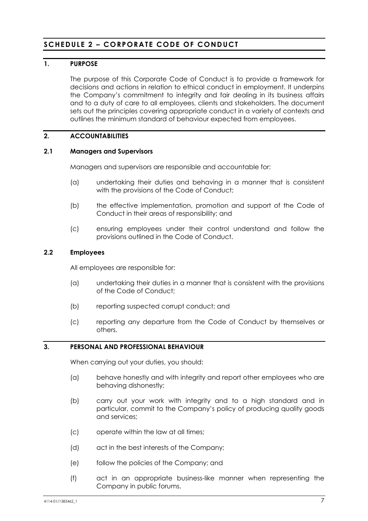# **SCHEDULE 2 – CORPORATE CODE OF CONDUCT**

# **1. PURPOSE**

The purpose of this Corporate Code of Conduct is to provide a framework for decisions and actions in relation to ethical conduct in employment. It underpins the Company's commitment to integrity and fair dealing in its business affairs and to a duty of care to all employees, clients and stakeholders. The document sets out the principles covering appropriate conduct in a variety of contexts and outlines the minimum standard of behaviour expected from employees.

# **2. ACCOUNTABILITIES**

#### **2.1 Managers and Supervisors**

Managers and supervisors are responsible and accountable for:

- (a) undertaking their duties and behaving in a manner that is consistent with the provisions of the Code of Conduct;
- (b) the effective implementation, promotion and support of the Code of Conduct in their areas of responsibility; and
- (c) ensuring employees under their control understand and follow the provisions outlined in the Code of Conduct.

#### **2.2 Employees**

All employees are responsible for:

- (a) undertaking their duties in a manner that is consistent with the provisions of the Code of Conduct;
- (b) reporting suspected corrupt conduct; and
- (c) reporting any departure from the Code of Conduct by themselves or others.

# **3. PERSONAL AND PROFESSIONAL BEHAVIOUR**

When carrying out your duties, you should:

- (a) behave honestly and with integrity and report other employees who are behaving dishonestly;
- (b) carry out your work with integrity and to a high standard and in particular, commit to the Company's policy of producing quality goods and services;
- (c) operate within the law at all times;
- (d) act in the best interests of the Company;
- (e) follow the policies of the Company; and
- (f) act in an appropriate business-like manner when representing the Company in public forums.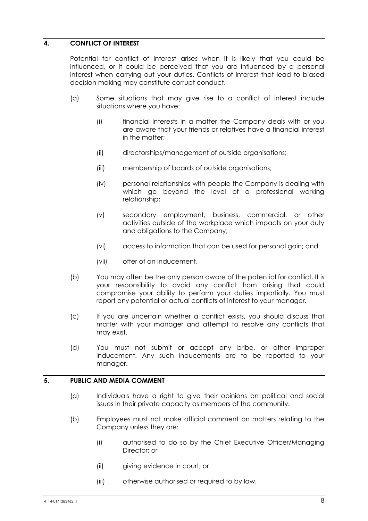# **4. CONFLICT OF INTEREST**

Potential for conflict of interest arises when it is likely that you could be influenced, or it could be perceived that you are influenced by a personal interest when carrying out your duties. Conflicts of interest that lead to biased decision making may constitute corrupt conduct.

- (a) Some situations that may give rise to a conflict of interest include situations where you have:
	- (i) financial interests in a matter the Company deals with or you are aware that your friends or relatives have a financial interest in the matter;
	- (ii) directorships/management of outside organisations;
	- (iii) membership of boards of outside organisations;
	- (iv) personal relationships with people the Company is dealing with which go beyond the level of a professional working relationship;
	- (v) secondary employment, business, commercial, or other activities outside of the workplace which impacts on your duty and obligations to the Company;
	- (vi) access to information that can be used for personal gain; and
	- (vii) offer of an inducement.
- (b) You may often be the only person aware of the potential for conflict. It is your responsibility to avoid any conflict from arising that could compromise your ability to perform your duties impartially. You must report any potential or actual conflicts of interest to your manager.
- (c) If you are uncertain whether a conflict exists, you should discuss that matter with your manager and attempt to resolve any conflicts that may exist.
- (d) You must not submit or accept any bribe, or other improper inducement. Any such inducements are to be reported to your manager.

# **5. PUBLIC AND MEDIA COMMENT**

- (a) Individuals have a right to give their opinions on political and social issues in their private capacity as members of the community.
- (b) Employees must not make official comment on matters relating to the Company unless they are:
	- (i) authorised to do so by the Chief Executive Officer/Managing Director; or
	- (ii) giving evidence in court; or
	- (iii) otherwise authorised or required to by law.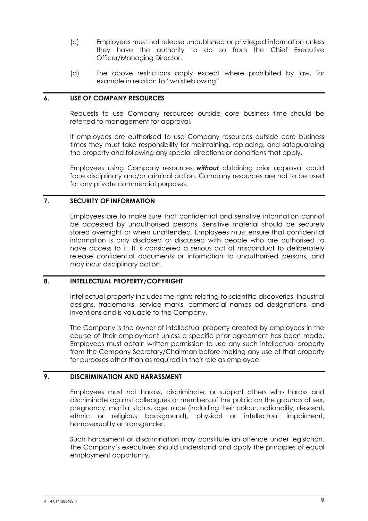- (c) Employees must not release unpublished or privileged information unless they have the authority to do so from the Chief Executive Officer/Managing Director.
- (d) The above restrictions apply except where prohibited by law, for example in relation to "whistleblowing".

### **6. USE OF COMPANY RESOURCES**

Requests to use Company resources outside core business time should be referred to management for approval.

If employees are authorised to use Company resources outside core business times they must take responsibility for maintaining, replacing, and safeguarding the property and following any special directions or conditions that apply.

Employees using Company resources *without* obtaining prior approval could face disciplinary and/or criminal action. Company resources are not to be used for any private commercial purposes.

# **7. SECURITY OF INFORMATION**

Employees are to make sure that confidential and sensitive information cannot be accessed by unauthorised persons. Sensitive material should be securely stored overnight or when unattended. Employees must ensure that confidential information is only disclosed or discussed with people who are authorised to have access to it. It is considered a serious act of misconduct to deliberately release confidential documents or information to unauthorised persons, and may incur disciplinary action.

#### **8. INTELLECTUAL PROPERTY/COPYRIGHT**

Intellectual property includes the rights relating to scientific discoveries, industrial designs, trademarks, service marks, commercial names ad designations, and inventions and is valuable to the Company.

The Company is the owner of intellectual property created by employees in the course of their employment unless a specific prior agreement has been made. Employees must obtain written permission to use any such intellectual property from the Company Secretary/Chairman before making any use of that property for purposes other than as required in their role as employee.

# **9. DISCRIMINATION AND HARASSMENT**

Employees must not harass, discriminate, or support others who harass and discriminate against colleagues or members of the public on the grounds of sex, pregnancy, marital status, age, race (including their colour, nationality, descent, ethnic or religious background), physical or intellectual impairment, homosexuality or transgender.

Such harassment or discrimination may constitute an offence under legislation. The Company's executives should understand and apply the principles of equal employment opportunity.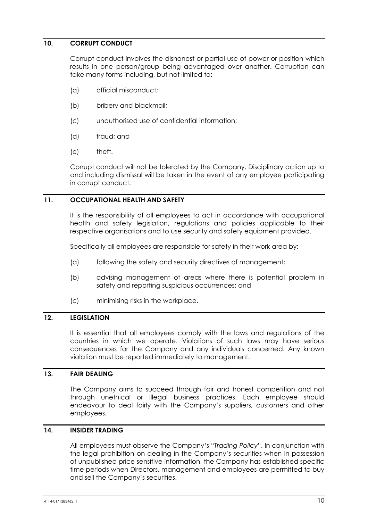# **10. CORRUPT CONDUCT**

Corrupt conduct involves the dishonest or partial use of power or position which results in one person/group being advantaged over another. Corruption can take many forms including, but not limited to:

- (a) official misconduct;
- (b) bribery and blackmail;
- (c) unauthorised use of confidential information;
- (d) fraud; and
- (e) theft.

Corrupt conduct will not be tolerated by the Company. Disciplinary action up to and including dismissal will be taken in the event of any employee participating in corrupt conduct.

# **11. OCCUPATIONAL HEALTH AND SAFETY**

It is the responsibility of all employees to act in accordance with occupational health and safety legislation, regulations and policies applicable to their respective organisations and to use security and safety equipment provided.

Specifically all employees are responsible for safety in their work area by:

- (a) following the safety and security directives of management;
- (b) advising management of areas where there is potential problem in safety and reporting suspicious occurrences; and
- (c) minimising risks in the workplace.

# **12. LEGISLATION**

It is essential that all employees comply with the laws and regulations of the countries in which we operate. Violations of such laws may have serious consequences for the Company and any individuals concerned. Any known violation must be reported immediately to management.

# **13. FAIR DEALING**

The Company aims to succeed through fair and honest competition and not through unethical or illegal business practices. Each employee should endeavour to deal fairly with the Company's suppliers, customers and other employees.

# **14. INSIDER TRADING**

All employees must observe the Company's "*Trading Policy*". In conjunction with the legal prohibition on dealing in the Company's securities when in possession of unpublished price sensitive information, the Company has established specific time periods when Directors, management and employees are permitted to buy and sell the Company's securities.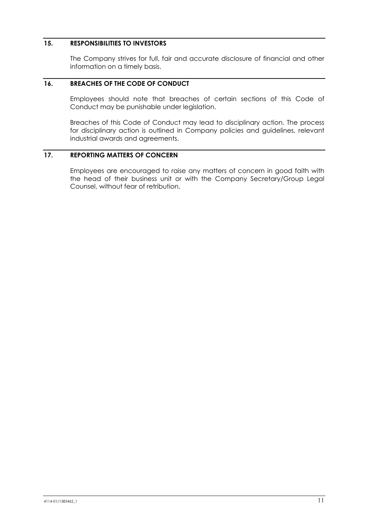# **15. RESPONSIBILITIES TO INVESTORS**

The Company strives for full, fair and accurate disclosure of financial and other information on a timely basis.

# **16. BREACHES OF THE CODE OF CONDUCT**

Employees should note that breaches of certain sections of this Code of Conduct may be punishable under legislation.

Breaches of this Code of Conduct may lead to disciplinary action. The process for disciplinary action is outlined in Company policies and guidelines, relevant industrial awards and agreements.

# **17. REPORTING MATTERS OF CONCERN**

Employees are encouraged to raise any matters of concern in good faith with the head of their business unit or with the Company Secretary/Group Legal Counsel, without fear of retribution.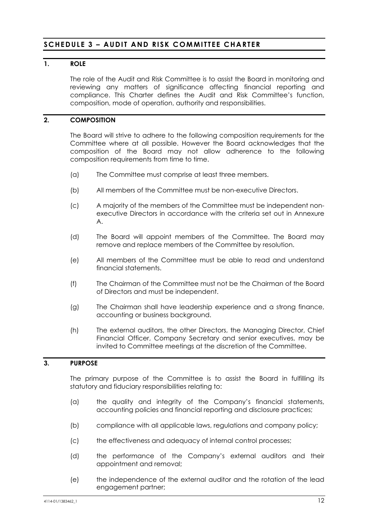# **SCHEDULE 3 - AUDIT AND RISK COMMITTEE CHARTER**

# **1. ROLE**

The role of the Audit and Risk Committee is to assist the Board in monitoring and reviewing any matters of significance affecting financial reporting and compliance. This Charter defines the Audit and Risk Committee's function, composition, mode of operation, authority and responsibilities.

# **2. COMPOSITION**

The Board will strive to adhere to the following composition requirements for the Committee where at all possible. However the Board acknowledges that the composition of the Board may not allow adherence to the following composition requirements from time to time.

- (a) The Committee must comprise at least three members.
- (b) All members of the Committee must be non-executive Directors.
- (c) A majority of the members of the Committee must be independent nonexecutive Directors in accordance with the criteria set out in Annexure A.
- (d) The Board will appoint members of the Committee. The Board may remove and replace members of the Committee by resolution.
- (e) All members of the Committee must be able to read and understand financial statements.
- (f) The Chairman of the Committee must not be the Chairman of the Board of Directors and must be independent.
- (g) The Chairman shall have leadership experience and a strong finance, accounting or business background.
- (h) The external auditors, the other Directors, the Managing Director, Chief Financial Officer, Company Secretary and senior executives, may be invited to Committee meetings at the discretion of the Committee.

#### **3. PURPOSE**

The primary purpose of the Committee is to assist the Board in fulfilling its statutory and fiduciary responsibilities relating to:

- (a) the quality and integrity of the Company's financial statements, accounting policies and financial reporting and disclosure practices;
- (b) compliance with all applicable laws, regulations and company policy;
- (c) the effectiveness and adequacy of internal control processes;
- (d) the performance of the Company's external auditors and their appointment and removal;
- (e) the independence of the external auditor and the rotation of the lead engagement partner;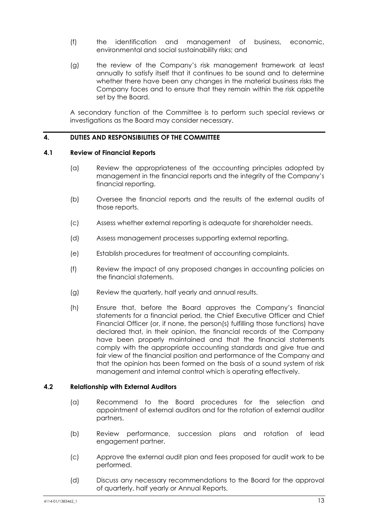- (f) the identification and management of business, economic, environmental and social sustainability risks; and
- (g) the review of the Company's risk management framework at least annually to satisfy itself that it continues to be sound and to determine whether there have been any changes in the material business risks the Company faces and to ensure that they remain within the risk appetite set by the Board.

A secondary function of the Committee is to perform such special reviews or investigations as the Board may consider necessary.

#### **4. DUTIES AND RESPONSIBILITIES OF THE COMMITTEE**

# **4.1 Review of Financial Reports**

- (a) Review the appropriateness of the accounting principles adopted by management in the financial reports and the integrity of the Company's financial reporting.
- (b) Oversee the financial reports and the results of the external audits of those reports.
- (c) Assess whether external reporting is adequate for shareholder needs.
- (d) Assess management processes supporting external reporting.
- (e) Establish procedures for treatment of accounting complaints.
- (f) Review the impact of any proposed changes in accounting policies on the financial statements.
- (g) Review the quarterly, half yearly and annual results.
- (h) Ensure that, before the Board approves the Company's financial statements for a financial period, the Chief Executive Officer and Chief Financial Officer (or, if none, the person(s) fulfilling those functions) have declared that, in their opinion, the financial records of the Company have been properly maintained and that the financial statements comply with the appropriate accounting standards and give true and fair view of the financial position and performance of the Company and that the opinion has been formed on the basis of a sound system of risk management and internal control which is operating effectively.

# **4.2 Relationship with External Auditors**

- (a) Recommend to the Board procedures for the selection and appointment of external auditors and for the rotation of external auditor partners.
- (b) Review performance, succession plans and rotation of lead engagement partner.
- (c) Approve the external audit plan and fees proposed for audit work to be performed.
- (d) Discuss any necessary recommendations to the Board for the approval of quarterly, half yearly or Annual Reports.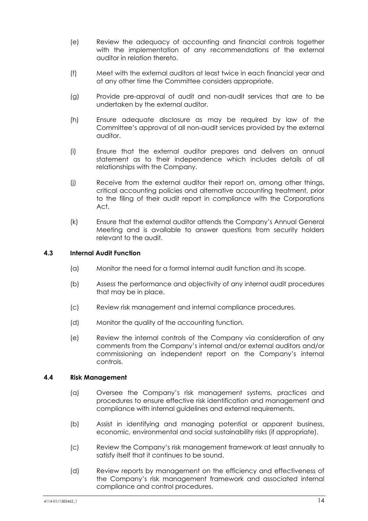- (e) Review the adequacy of accounting and financial controls together with the implementation of any recommendations of the external auditor in relation thereto.
- (f) Meet with the external auditors at least twice in each financial year and at any other time the Committee considers appropriate.
- (g) Provide pre-approval of audit and non-audit services that are to be undertaken by the external auditor.
- (h) Ensure adequate disclosure as may be required by law of the Committee's approval of all non-audit services provided by the external auditor.
- (i) Ensure that the external auditor prepares and delivers an annual statement as to their independence which includes details of all relationships with the Company.
- (j) Receive from the external auditor their report on, among other things, critical accounting policies and alternative accounting treatment, prior to the filing of their audit report in compliance with the Corporations Act.
- (k) Ensure that the external auditor attends the Company's Annual General Meeting and is available to answer questions from security holders relevant to the audit.

# **4.3 Internal Audit Function**

- (a) Monitor the need for a formal internal audit function and its scope.
- (b) Assess the performance and objectivity of any internal audit procedures that may be in place.
- (c) Review risk management and internal compliance procedures.
- (d) Monitor the quality of the accounting function.
- (e) Review the internal controls of the Company via consideration of any comments from the Company's internal and/or external auditors and/or commissioning an independent report on the Company's internal controls.

# **4.4 Risk Management**

- (a) Oversee the Company's risk management systems, practices and procedures to ensure effective risk identification and management and compliance with internal guidelines and external requirements.
- (b) Assist in identifying and managing potential or apparent business, economic, environmental and social sustainability risks (if appropriate).
- (c) Review the Company's risk management framework at least annually to satisfy itself that it continues to be sound.
- (d) Review reports by management on the efficiency and effectiveness of the Company's risk management framework and associated internal compliance and control procedures.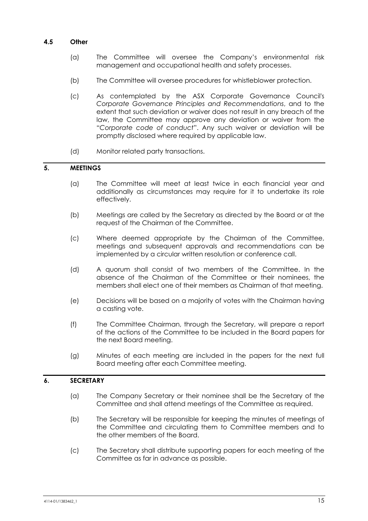# **4.5 Other**

- (a) The Committee will oversee the Company's environmental risk management and occupational health and safety processes.
- (b) The Committee will oversee procedures for whistleblower protection.
- (c) As contemplated by the ASX Corporate Governance Council's *Corporate Governance Principles and Recommendations*, and to the extent that such deviation or waiver does not result in any breach of the law, the Committee may approve any deviation or waiver from the "*Corporate code of conduct*". Any such waiver or deviation will be promptly disclosed where required by applicable law.
- (d) Monitor related party transactions.

# **5. MEETINGS**

- (a) The Committee will meet at least twice in each financial year and additionally as circumstances may require for it to undertake its role effectively.
- (b) Meetings are called by the Secretary as directed by the Board or at the request of the Chairman of the Committee.
- (c) Where deemed appropriate by the Chairman of the Committee, meetings and subsequent approvals and recommendations can be implemented by a circular written resolution or conference call.
- (d) A quorum shall consist of two members of the Committee. In the absence of the Chairman of the Committee or their nominees, the members shall elect one of their members as Chairman of that meeting.
- (e) Decisions will be based on a majority of votes with the Chairman having a casting vote.
- (f) The Committee Chairman, through the Secretary, will prepare a report of the actions of the Committee to be included in the Board papers for the next Board meeting.
- (g) Minutes of each meeting are included in the papers for the next full Board meeting after each Committee meeting.

#### **6. SECRETARY**

- (a) The Company Secretary or their nominee shall be the Secretary of the Committee and shall attend meetings of the Committee as required.
- (b) The Secretary will be responsible for keeping the minutes of meetings of the Committee and circulating them to Committee members and to the other members of the Board.
- (c) The Secretary shall distribute supporting papers for each meeting of the Committee as far in advance as possible.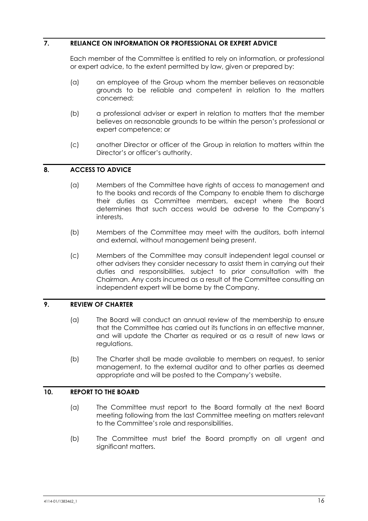# **7. RELIANCE ON INFORMATION OR PROFESSIONAL OR EXPERT ADVICE**

Each member of the Committee is entitled to rely on information, or professional or expert advice, to the extent permitted by law, given or prepared by:

- (a) an employee of the Group whom the member believes on reasonable grounds to be reliable and competent in relation to the matters concerned;
- (b) a professional adviser or expert in relation to matters that the member believes on reasonable grounds to be within the person's professional or expert competence; or
- (c) another Director or officer of the Group in relation to matters within the Director's or officer's authority.

# **8. ACCESS TO ADVICE**

- (a) Members of the Committee have rights of access to management and to the books and records of the Company to enable them to discharge their duties as Committee members, except where the Board determines that such access would be adverse to the Company's interests.
- (b) Members of the Committee may meet with the auditors, both internal and external, without management being present.
- (c) Members of the Committee may consult independent legal counsel or other advisers they consider necessary to assist them in carrying out their duties and responsibilities, subject to prior consultation with the Chairman. Any costs incurred as a result of the Committee consulting an independent expert will be borne by the Company.

# **9. REVIEW OF CHARTER**

- (a) The Board will conduct an annual review of the membership to ensure that the Committee has carried out its functions in an effective manner, and will update the Charter as required or as a result of new laws or regulations.
- (b) The Charter shall be made available to members on request, to senior management, to the external auditor and to other parties as deemed appropriate and will be posted to the Company's website.

### **10. REPORT TO THE BOARD**

- (a) The Committee must report to the Board formally at the next Board meeting following from the last Committee meeting on matters relevant to the Committee's role and responsibilities.
- (b) The Committee must brief the Board promptly on all urgent and significant matters.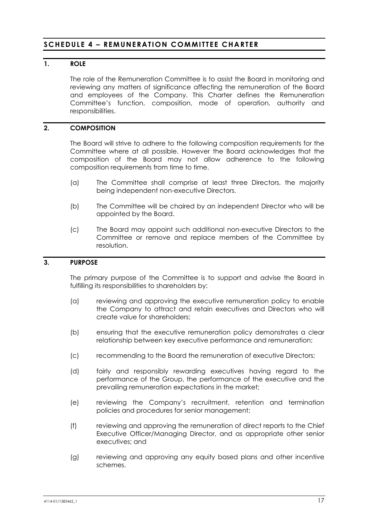# **SCHEDULE 4 – REMUNERATION COMMITTEE CHARTER**

# **1. ROLE**

The role of the Remuneration Committee is to assist the Board in monitoring and reviewing any matters of significance affecting the remuneration of the Board and employees of the Company. This Charter defines the Remuneration Committee's function, composition, mode of operation, authority and responsibilities.

# **2. COMPOSITION**

The Board will strive to adhere to the following composition requirements for the Committee where at all possible. However the Board acknowledges that the composition of the Board may not allow adherence to the following composition requirements from time to time.

- (a) The Committee shall comprise at least three Directors, the majority being independent non-executive Directors.
- (b) The Committee will be chaired by an independent Director who will be appointed by the Board.
- (c) The Board may appoint such additional non-executive Directors to the Committee or remove and replace members of the Committee by resolution.

#### **3. PURPOSE**

The primary purpose of the Committee is to support and advise the Board in fulfilling its responsibilities to shareholders by:

- (a) reviewing and approving the executive remuneration policy to enable the Company to attract and retain executives and Directors who will create value for shareholders;
- (b) ensuring that the executive remuneration policy demonstrates a clear relationship between key executive performance and remuneration;
- (c) recommending to the Board the remuneration of executive Directors;
- (d) fairly and responsibly rewarding executives having regard to the performance of the Group, the performance of the executive and the prevailing remuneration expectations in the market;
- (e) reviewing the Company's recruitment, retention and termination policies and procedures for senior management;
- (f) reviewing and approving the remuneration of direct reports to the Chief Executive Officer/Managing Director, and as appropriate other senior executives; and
- (g) reviewing and approving any equity based plans and other incentive schemes.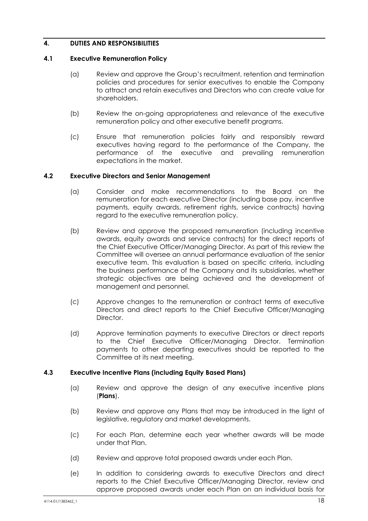# **4. DUTIES AND RESPONSIBILITIES**

# **4.1 Executive Remuneration Policy**

- (a) Review and approve the Group's recruitment, retention and termination policies and procedures for senior executives to enable the Company to attract and retain executives and Directors who can create value for shareholders.
- (b) Review the on-going appropriateness and relevance of the executive remuneration policy and other executive benefit programs.
- (c) Ensure that remuneration policies fairly and responsibly reward executives having regard to the performance of the Company, the performance of the executive and prevailing remuneration expectations in the market.

#### **4.2 Executive Directors and Senior Management**

- (a) Consider and make recommendations to the Board on the remuneration for each executive Director (including base pay, incentive payments, equity awards, retirement rights, service contracts) having regard to the executive remuneration policy.
- (b) Review and approve the proposed remuneration (including incentive awards, equity awards and service contracts) for the direct reports of the Chief Executive Officer/Managing Director. As part of this review the Committee will oversee an annual performance evaluation of the senior executive team. This evaluation is based on specific criteria, including the business performance of the Company and its subsidiaries, whether strategic objectives are being achieved and the development of management and personnel.
- (c) Approve changes to the remuneration or contract terms of executive Directors and direct reports to the Chief Executive Officer/Managing Director.
- (d) Approve termination payments to executive Directors or direct reports to the Chief Executive Officer/Managing Director. Termination payments to other departing executives should be reported to the Committee at its next meeting.

# **4.3 Executive Incentive Plans (including Equity Based Plans)**

- (a) Review and approve the design of any executive incentive plans (**Plans**).
- (b) Review and approve any Plans that may be introduced in the light of legislative, regulatory and market developments.
- (c) For each Plan, determine each year whether awards will be made under that Plan.
- (d) Review and approve total proposed awards under each Plan.
- (e) In addition to considering awards to executive Directors and direct reports to the Chief Executive Officer/Managing Director, review and approve proposed awards under each Plan on an individual basis for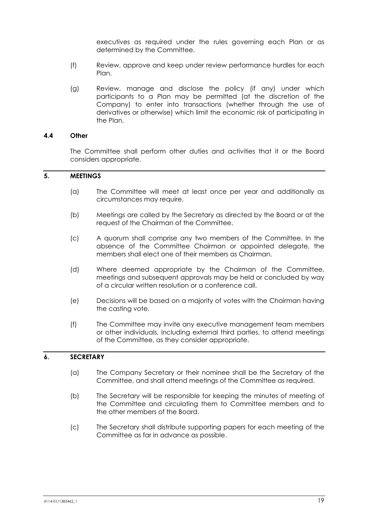executives as required under the rules governing each Plan or as determined by the Committee.

- (f) Review, approve and keep under review performance hurdles for each Plan.
- (g) Review, manage and disclose the policy (if any) under which participants to a Plan may be permitted (at the discretion of the Company) to enter into transactions (whether through the use of derivatives or otherwise) which limit the economic risk of participating in the Plan.

#### **4.4 Other**

The Committee shall perform other duties and activities that it or the Board considers appropriate.

### **5. MEETINGS**

- (a) The Committee will meet at least once per year and additionally as circumstances may require.
- (b) Meetings are called by the Secretary as directed by the Board or at the request of the Chairman of the Committee.
- (c) A quorum shall comprise any two members of the Committee. In the absence of the Committee Chairman or appointed delegate, the members shall elect one of their members as Chairman.
- (d) Where deemed appropriate by the Chairman of the Committee, meetings and subsequent approvals may be held or concluded by way of a circular written resolution or a conference call.
- (e) Decisions will be based on a majority of votes with the Chairman having the casting vote.
- (f) The Committee may invite any executive management team members or other individuals, including external third parties, to attend meetings of the Committee, as they consider appropriate.

# **6. SECRETARY**

- (a) The Company Secretary or their nominee shall be the Secretary of the Committee, and shall attend meetings of the Committee as required.
- (b) The Secretary will be responsible for keeping the minutes of meeting of the Committee and circulating them to Committee members and to the other members of the Board.
- (c) The Secretary shall distribute supporting papers for each meeting of the Committee as far in advance as possible.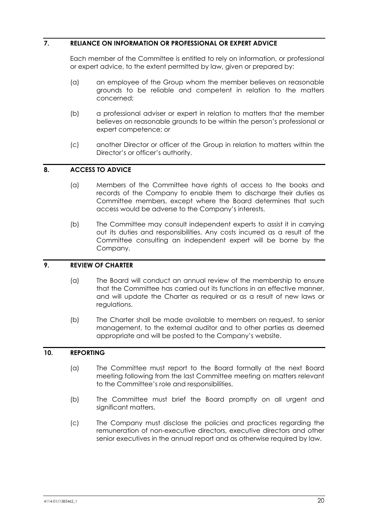# **7. RELIANCE ON INFORMATION OR PROFESSIONAL OR EXPERT ADVICE**

Each member of the Committee is entitled to rely on information, or professional or expert advice, to the extent permitted by law, given or prepared by:

- (a) an employee of the Group whom the member believes on reasonable grounds to be reliable and competent in relation to the matters concerned;
- (b) a professional adviser or expert in relation to matters that the member believes on reasonable grounds to be within the person's professional or expert competence; or
- (c) another Director or officer of the Group in relation to matters within the Director's or officer's authority.

# **8. ACCESS TO ADVICE**

- (a) Members of the Committee have rights of access to the books and records of the Company to enable them to discharge their duties as Committee members, except where the Board determines that such access would be adverse to the Company's interests.
- (b) The Committee may consult independent experts to assist it in carrying out its duties and responsibilities. Any costs incurred as a result of the Committee consulting an independent expert will be borne by the Company.

# **9. REVIEW OF CHARTER**

- (a) The Board will conduct an annual review of the membership to ensure that the Committee has carried out its functions in an effective manner, and will update the Charter as required or as a result of new laws or regulations.
- (b) The Charter shall be made available to members on request, to senior management, to the external auditor and to other parties as deemed appropriate and will be posted to the Company's website.

#### **10. REPORTING**

- (a) The Committee must report to the Board formally at the next Board meeting following from the last Committee meeting on matters relevant to the Committee's role and responsibilities.
- (b) The Committee must brief the Board promptly on all urgent and significant matters.
- (c) The Company must disclose the policies and practices regarding the remuneration of non-executive directors, executive directors and other senior executives in the annual report and as otherwise required by law.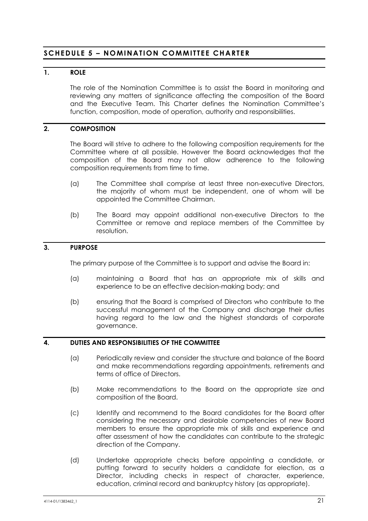# **SCHEDULE 5 – NOMINATION COMMITTEE CHARTER**

# **1. ROLE**

The role of the Nomination Committee is to assist the Board in monitoring and reviewing any matters of significance affecting the composition of the Board and the Executive Team. This Charter defines the Nomination Committee's function, composition, mode of operation, authority and responsibilities.

# **2. COMPOSITION**

The Board will strive to adhere to the following composition requirements for the Committee where at all possible. However the Board acknowledges that the composition of the Board may not allow adherence to the following composition requirements from time to time.

- (a) The Committee shall comprise at least three non-executive Directors, the majority of whom must be independent, one of whom will be appointed the Committee Chairman.
- (b) The Board may appoint additional non-executive Directors to the Committee or remove and replace members of the Committee by resolution.

# **3. PURPOSE**

The primary purpose of the Committee is to support and advise the Board in:

- (a) maintaining a Board that has an appropriate mix of skills and experience to be an effective decision-making body; and
- (b) ensuring that the Board is comprised of Directors who contribute to the successful management of the Company and discharge their duties having regard to the law and the highest standards of corporate governance.

# **4. DUTIES AND RESPONSIBILITIES OF THE COMMITTEE**

- (a) Periodically review and consider the structure and balance of the Board and make recommendations regarding appointments, retirements and terms of office of Directors.
- (b) Make recommendations to the Board on the appropriate size and composition of the Board.
- (c) Identify and recommend to the Board candidates for the Board after considering the necessary and desirable competencies of new Board members to ensure the appropriate mix of skills and experience and after assessment of how the candidates can contribute to the strategic direction of the Company.
- (d) Undertake appropriate checks before appointing a candidate, or putting forward to security holders a candidate for election, as a Director, including checks in respect of character, experience, education, criminal record and bankruptcy history (as appropriate).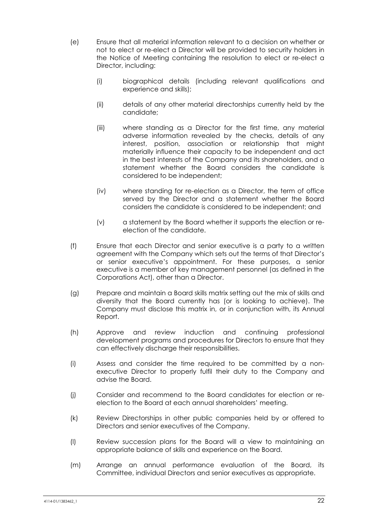- (e) Ensure that all material information relevant to a decision on whether or not to elect or re-elect a Director will be provided to security holders in the Notice of Meeting containing the resolution to elect or re-elect a Director, including:
	- (i) biographical details (including relevant qualifications and experience and skills);
	- (ii) details of any other material directorships currently held by the candidate;
	- (iii) where standing as a Director for the first time, any material adverse information revealed by the checks, details of any interest, position, association or relationship that might materially influence their capacity to be independent and act in the best interests of the Company and its shareholders, and a statement whether the Board considers the candidate is considered to be independent;
	- (iv) where standing for re-election as a Director, the term of office served by the Director and a statement whether the Board considers the candidate is considered to be independent; and
	- (v) a statement by the Board whether it supports the election or reelection of the candidate.
- (f) Ensure that each Director and senior executive is a party to a written agreement with the Company which sets out the terms of that Director's or senior executive's appointment. For these purposes, a senior executive is a member of key management personnel (as defined in the Corporations Act), other than a Director.
- (g) Prepare and maintain a Board skills matrix setting out the mix of skills and diversity that the Board currently has (or is looking to achieve). The Company must disclose this matrix in, or in conjunction with, its Annual Report.
- (h) Approve and review induction and continuing professional development programs and procedures for Directors to ensure that they can effectively discharge their responsibilities.
- (i) Assess and consider the time required to be committed by a nonexecutive Director to properly fulfil their duty to the Company and advise the Board.
- (j) Consider and recommend to the Board candidates for election or reelection to the Board at each annual shareholders' meeting.
- (k) Review Directorships in other public companies held by or offered to Directors and senior executives of the Company.
- (l) Review succession plans for the Board will a view to maintaining an appropriate balance of skills and experience on the Board.
- (m) Arrange an annual performance evaluation of the Board, its Committee, individual Directors and senior executives as appropriate.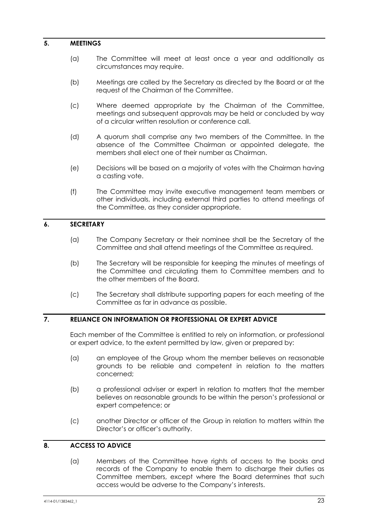#### **5. MEETINGS**

- (a) The Committee will meet at least once a year and additionally as circumstances may require.
- (b) Meetings are called by the Secretary as directed by the Board or at the request of the Chairman of the Committee.
- (c) Where deemed appropriate by the Chairman of the Committee, meetings and subsequent approvals may be held or concluded by way of a circular written resolution or conference call.
- (d) A quorum shall comprise any two members of the Committee. In the absence of the Committee Chairman or appointed delegate, the members shall elect one of their number as Chairman.
- (e) Decisions will be based on a majority of votes with the Chairman having a casting vote.
- (f) The Committee may invite executive management team members or other individuals, including external third parties to attend meetings of the Committee, as they consider appropriate.

# **6. SECRETARY**

- (a) The Company Secretary or their nominee shall be the Secretary of the Committee and shall attend meetings of the Committee as required.
- (b) The Secretary will be responsible for keeping the minutes of meetings of the Committee and circulating them to Committee members and to the other members of the Board.
- (c) The Secretary shall distribute supporting papers for each meeting of the Committee as far in advance as possible.

# **7. RELIANCE ON INFORMATION OR PROFESSIONAL OR EXPERT ADVICE**

Each member of the Committee is entitled to rely on information, or professional or expert advice, to the extent permitted by law, given or prepared by:

- (a) an employee of the Group whom the member believes on reasonable grounds to be reliable and competent in relation to the matters concerned;
- (b) a professional adviser or expert in relation to matters that the member believes on reasonable grounds to be within the person's professional or expert competence; or
- (c) another Director or officer of the Group in relation to matters within the Director's or officer's authority.

# **8. ACCESS TO ADVICE**

(a) Members of the Committee have rights of access to the books and records of the Company to enable them to discharge their duties as Committee members, except where the Board determines that such access would be adverse to the Company's interests.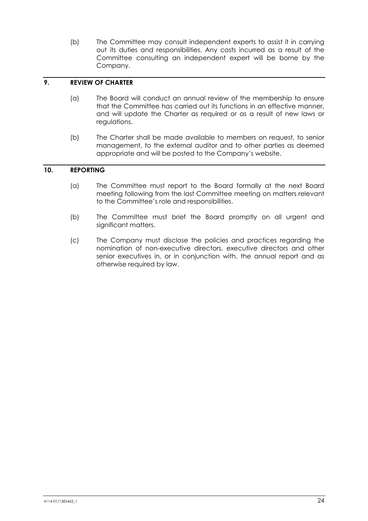(b) The Committee may consult independent experts to assist it in carrying out its duties and responsibilities. Any costs incurred as a result of the Committee consulting an independent expert will be borne by the Company.

# **9. REVIEW OF CHARTER**

- (a) The Board will conduct an annual review of the membership to ensure that the Committee has carried out its functions in an effective manner, and will update the Charter as required or as a result of new laws or regulations.
- (b) The Charter shall be made available to members on request, to senior management, to the external auditor and to other parties as deemed appropriate and will be posted to the Company's website.

# **10. REPORTING**

- (a) The Committee must report to the Board formally at the next Board meeting following from the last Committee meeting on matters relevant to the Committee's role and responsibilities.
- (b) The Committee must brief the Board promptly on all urgent and significant matters.
- (c) The Company must disclose the policies and practices regarding the nomination of non-executive directors, executive directors and other senior executives in, or in conjunction with, the annual report and as otherwise required by law.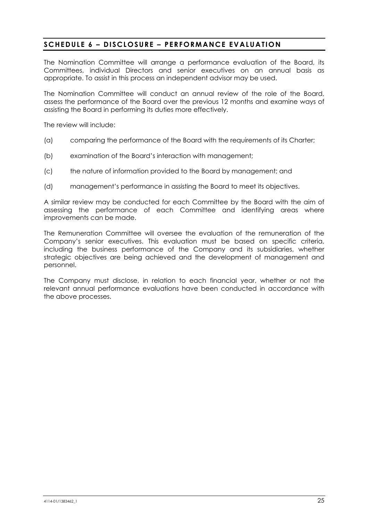# **SCHEDULE 6 – DISCLOSURE – PERFORMANCE EVALUATION**

The Nomination Committee will arrange a performance evaluation of the Board, its Committees, individual Directors and senior executives on an annual basis as appropriate. To assist in this process an independent advisor may be used.

The Nomination Committee will conduct an annual review of the role of the Board, assess the performance of the Board over the previous 12 months and examine ways of assisting the Board in performing its duties more effectively.

The review will include:

- (a) comparing the performance of the Board with the requirements of its Charter;
- (b) examination of the Board's interaction with management;
- (c) the nature of information provided to the Board by management; and
- (d) management's performance in assisting the Board to meet its objectives.

A similar review may be conducted for each Committee by the Board with the aim of assessing the performance of each Committee and identifying areas where improvements can be made.

The Remuneration Committee will oversee the evaluation of the remuneration of the Company's senior executives. This evaluation must be based on specific criteria, including the business performance of the Company and its subsidiaries, whether strategic objectives are being achieved and the development of management and personnel.

The Company must disclose, in relation to each financial year, whether or not the relevant annual performance evaluations have been conducted in accordance with the above processes.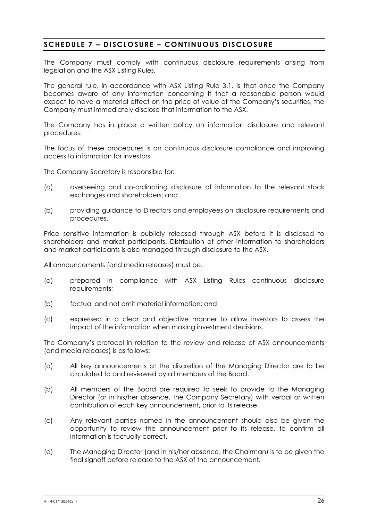# **SCHEDULE 7 – DISCLOSURE – CONTINUOUS DISCLOSURE**

The Company must comply with continuous disclosure requirements arising from legislation and the ASX Listing Rules.

The general rule, in accordance with ASX Listing Rule 3.1, is that once the Company becomes aware of any information concerning it that a reasonable person would expect to have a material effect on the price of value of the Company's securities, the Company must immediately disclose that information to the ASX.

The Company has in place a written policy on information disclosure and relevant procedures.

The focus of these procedures is on continuous disclosure compliance and improving access to information for investors.

The Company Secretary is responsible for:

- (a) overseeing and co-ordinating disclosure of information to the relevant stock exchanges and shareholders; and
- (b) providing guidance to Directors and employees on disclosure requirements and procedures.

Price sensitive information is publicly released through ASX before it is disclosed to shareholders and market participants. Distribution of other information to shareholders and market participants is also managed through disclosure to the ASX.

All announcements (and media releases) must be:

- (a) prepared in compliance with ASX Listing Rules continuous disclosure requirements;
- (b) factual and not omit material information; and
- (c) expressed in a clear and objective manner to allow investors to assess the impact of the information when making investment decisions.

The Company's protocol in relation to the review and release of ASX announcements (and media releases) is as follows:

- (a) All key announcements at the discretion of the Managing Director are to be circulated to and reviewed by all members of the Board.
- (b) All members of the Board are required to seek to provide to the Managing Director (or in his/her absence, the Company Secretary) with verbal or written contribution of each key announcement, prior to its release.
- (c) Any relevant parties named in the announcement should also be given the opportunity to review the announcement prior to its release, to confirm all information is factually correct.
- (d) The Managing Director (and in his/her absence, the Chairman) is to be given the final signoff before release to the ASX of the announcement.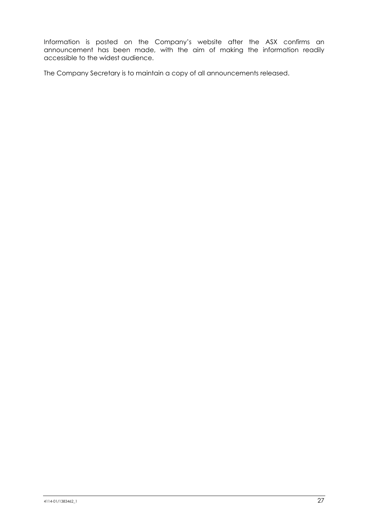Information is posted on the Company's website after the ASX confirms an announcement has been made, with the aim of making the information readily accessible to the widest audience.

The Company Secretary is to maintain a copy of all announcements released.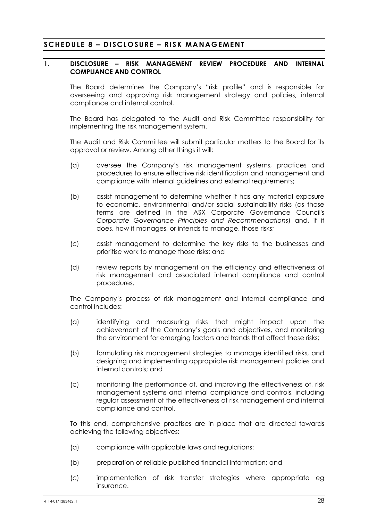# **SCHEDULE 8 – DISCLOSURE – RISK MANAGEMENT**

#### **1. DISCLOSURE – RISK MANAGEMENT REVIEW PROCEDURE AND INTERNAL COMPLIANCE AND CONTROL**

The Board determines the Company's "risk profile" and is responsible for overseeing and approving risk management strategy and policies, internal compliance and internal control.

The Board has delegated to the Audit and Risk Committee responsibility for implementing the risk management system.

The Audit and Risk Committee will submit particular matters to the Board for its approval or review. Among other things it will:

- (a) oversee the Company's risk management systems, practices and procedures to ensure effective risk identification and management and compliance with internal guidelines and external requirements;
- (b) assist management to determine whether it has any material exposure to economic, environmental and/or social sustainability risks (as those terms are defined in the ASX Corporate Governance Council's *Corporate Governance Principles and Recommendations*) and, if it does, how it manages, or intends to manage, those risks;
- (c) assist management to determine the key risks to the businesses and prioritise work to manage those risks; and
- (d) review reports by management on the efficiency and effectiveness of risk management and associated internal compliance and control procedures.

The Company's process of risk management and internal compliance and control includes:

- (a) identifying and measuring risks that might impact upon the achievement of the Company's goals and objectives, and monitoring the environment for emerging factors and trends that affect these risks;
- (b) formulating risk management strategies to manage identified risks, and designing and implementing appropriate risk management policies and internal controls; and
- (c) monitoring the performance of, and improving the effectiveness of, risk management systems and internal compliance and controls, including regular assessment of the effectiveness of risk management and internal compliance and control.

To this end, comprehensive practises are in place that are directed towards achieving the following objectives:

- (a) compliance with applicable laws and regulations:
- (b) preparation of reliable published financial information; and
- (c) implementation of risk transfer strategies where appropriate eg insurance.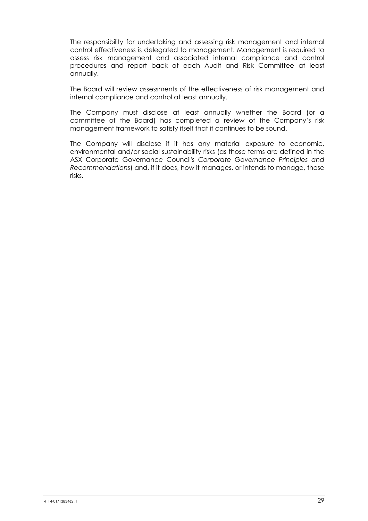The responsibility for undertaking and assessing risk management and internal control effectiveness is delegated to management. Management is required to assess risk management and associated internal compliance and control procedures and report back at each Audit and Risk Committee at least annually.

The Board will review assessments of the effectiveness of risk management and internal compliance and control at least annually.

The Company must disclose at least annually whether the Board (or a committee of the Board) has completed a review of the Company's risk management framework to satisfy itself that it continues to be sound.

The Company will disclose if it has any material exposure to economic, environmental and/or social sustainability risks (as those terms are defined in the ASX Corporate Governance Council's *Corporate Governance Principles and Recommendations*) and, if it does, how it manages, or intends to manage, those risks.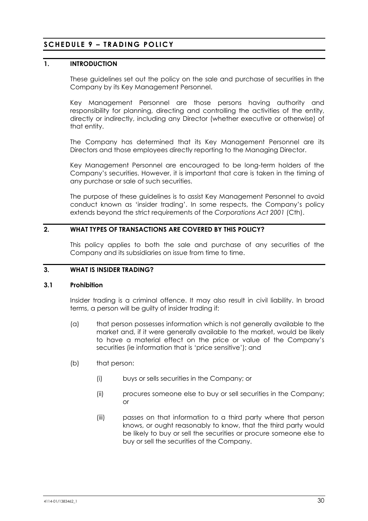# **SCHEDULE 9 – TRADING POLICY**

# **1. INTRODUCTION**

These guidelines set out the policy on the sale and purchase of securities in the Company by its Key Management Personnel.

Key Management Personnel are those persons having authority and responsibility for planning, directing and controlling the activities of the entity, directly or indirectly, including any Director (whether executive or otherwise) of that entity.

The Company has determined that its Key Management Personnel are its Directors and those employees directly reporting to the Managing Director.

Key Management Personnel are encouraged to be long-term holders of the Company's securities. However, it is important that care is taken in the timing of any purchase or sale of such securities.

The purpose of these guidelines is to assist Key Management Personnel to avoid conduct known as 'insider trading'. In some respects, the Company's policy extends beyond the strict requirements of the *Corporations Act 2001* (Cth).

# **2. WHAT TYPES OF TRANSACTIONS ARE COVERED BY THIS POLICY?**

This policy applies to both the sale and purchase of any securities of the Company and its subsidiaries on issue from time to time.

# **3. WHAT IS INSIDER TRADING?**

#### **3.1 Prohibition**

Insider trading is a criminal offence. It may also result in civil liability. In broad terms, a person will be guilty of insider trading if:

- (a) that person possesses information which is not generally available to the market and, if it were generally available to the market, would be likely to have a material effect on the price or value of the Company's securities (ie information that is 'price sensitive'); and
- (b) that person:
	- (i) buys or sells securities in the Company; or
	- (ii) procures someone else to buy or sell securities in the Company; or
	- (iii) passes on that information to a third party where that person knows, or ought reasonably to know, that the third party would be likely to buy or sell the securities or procure someone else to buy or sell the securities of the Company.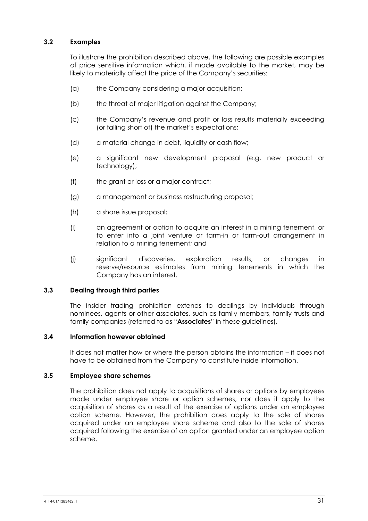# **3.2 Examples**

To illustrate the prohibition described above, the following are possible examples of price sensitive information which, if made available to the market, may be likely to materially affect the price of the Company's securities:

- (a) the Company considering a major acquisition;
- (b) the threat of major litigation against the Company;
- (c) the Company's revenue and profit or loss results materially exceeding (or falling short of) the market's expectations;
- (d) a material change in debt, liquidity or cash flow;
- (e) a significant new development proposal (e.g. new product or technology);
- (f) the grant or loss or a major contract;
- (g) a management or business restructuring proposal;
- (h) a share issue proposal;
- (i) an agreement or option to acquire an interest in a mining tenement, or to enter into a joint venture or farm-in or farm-out arrangement in relation to a mining tenement; and
- (j) significant discoveries, exploration results, or changes in reserve/resource estimates from mining tenements in which the Company has an interest.

#### **3.3 Dealing through third parties**

The insider trading prohibition extends to dealings by individuals through nominees, agents or other associates, such as family members, family trusts and family companies (referred to as "**Associates**" in these guidelines).

#### **3.4 Information however obtained**

It does not matter how or where the person obtains the information – it does not have to be obtained from the Company to constitute inside information.

# **3.5 Employee share schemes**

The prohibition does not apply to acquisitions of shares or options by employees made under employee share or option schemes, nor does it apply to the acquisition of shares as a result of the exercise of options under an employee option scheme. However, the prohibition does apply to the sale of shares acquired under an employee share scheme and also to the sale of shares acquired following the exercise of an option granted under an employee option scheme.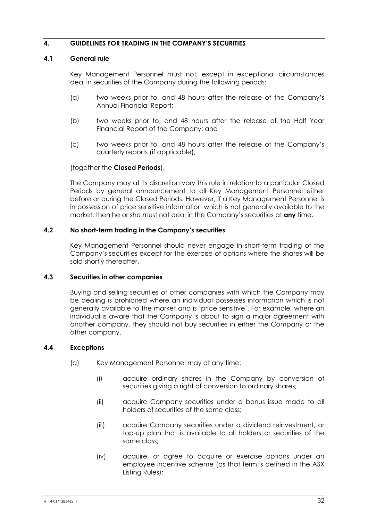# **4. GUIDELINES FOR TRADING IN THE COMPANY'S SECURITIES**

#### **4.1 General rule**

Key Management Personnel must not, except in exceptional circumstances deal in securities of the Company during the following periods:

- (a) two weeks prior to, and 48 hours after the release of the Company's Annual Financial Report;
- (b) two weeks prior to, and 48 hours after the release of the Half Year Financial Report of the Company; and
- (c) two weeks prior to, and 48 hours after the release of the Company's quarterly reports (if applicable),

#### (together the **Closed Periods**).

The Company may at its discretion vary this rule in relation to a particular Closed Periods by general announcement to all Key Management Personnel either before or during the Closed Periods. However, if a Key Management Personnel is in possession of price sensitive information which is not generally available to the market, then he or she must not deal in the Company's securities at **any** time.

#### **4.2 No short-term trading in the Company's securities**

Key Management Personnel should never engage in short-term trading of the Company's securities except for the exercise of options where the shares will be sold shortly thereafter.

# **4.3 Securities in other companies**

Buying and selling securities of other companies with which the Company may be dealing is prohibited where an individual possesses information which is not generally available to the market and is 'price sensitive'. For example, where an individual is aware that the Company is about to sign a major agreement with another company, they should not buy securities in either the Company or the other company.

# **4.4 Exceptions**

- (a) Key Management Personnel may at any time:
	- (i) acquire ordinary shares in the Company by conversion of securities giving a right of conversion to ordinary shares;
	- (ii) acquire Company securities under a bonus issue made to all holders of securities of the same class;
	- (iii) acquire Company securities under a dividend reinvestment, or top-up plan that is available to all holders or securities of the same class;
	- (iv) acquire, or agree to acquire or exercise options under an employee incentive scheme (as that term is defined in the ASX Listing Rules);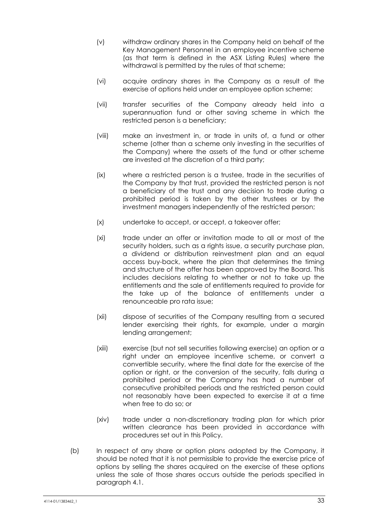- (v) withdraw ordinary shares in the Company held on behalf of the Key Management Personnel in an employee incentive scheme (as that term is defined in the ASX Listing Rules) where the withdrawal is permitted by the rules of that scheme;
- (vi) acquire ordinary shares in the Company as a result of the exercise of options held under an employee option scheme;
- (vii) transfer securities of the Company already held into a superannuation fund or other saving scheme in which the restricted person is a beneficiary;
- (viii) make an investment in, or trade in units of, a fund or other scheme (other than a scheme only investing in the securities of the Company) where the assets of the fund or other scheme are invested at the discretion of a third party;
- (ix) where a restricted person is a trustee, trade in the securities of the Company by that trust, provided the restricted person is not a beneficiary of the trust and any decision to trade during a prohibited period is taken by the other trustees or by the investment managers independently of the restricted person;
- (x) undertake to accept, or accept, a takeover offer;
- (xi) trade under an offer or invitation made to all or most of the security holders, such as a rights issue, a security purchase plan, a dividend or distribution reinvestment plan and an equal access buy-back, where the plan that determines the timing and structure of the offer has been approved by the Board. This includes decisions relating to whether or not to take up the entitlements and the sale of entitlements required to provide for the take up of the balance of entitlements under a renounceable pro rata issue;
- (xii) dispose of securities of the Company resulting from a secured lender exercising their rights, for example, under a margin lending arrangement;
- (xiii) exercise (but not sell securities following exercise) an option or a right under an employee incentive scheme, or convert a convertible security, where the final date for the exercise of the option or right, or the conversion of the security, falls during a prohibited period or the Company has had a number of consecutive prohibited periods and the restricted person could not reasonably have been expected to exercise it at a time when free to do so; or
- (xiv) trade under a non-discretionary trading plan for which prior written clearance has been provided in accordance with procedures set out in this Policy.
- (b) In respect of any share or option plans adopted by the Company, it should be noted that it is not permissible to provide the exercise price of options by selling the shares acquired on the exercise of these options unless the sale of those shares occurs outside the periods specified in paragraph 4.1.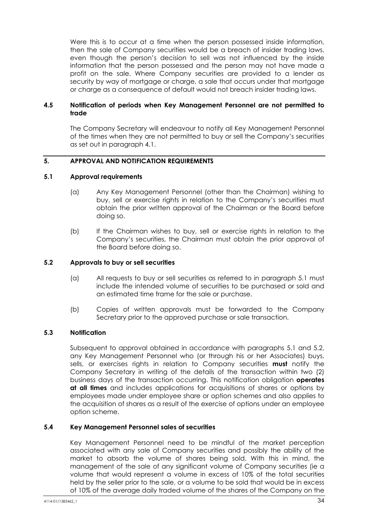Were this is to occur at a time when the person possessed inside information, then the sale of Company securities would be a breach of insider trading laws, even though the person's decision to sell was not influenced by the inside information that the person possessed and the person may not have made a profit on the sale. Where Company securities are provided to a lender as security by way of mortgage or charge, a sale that occurs under that mortgage or charge as a consequence of default would not breach insider trading laws.

# **4.5 Notification of periods when Key Management Personnel are not permitted to trade**

The Company Secretary will endeavour to notify all Key Management Personnel of the times when they are not permitted to buy or sell the Company's securities as set out in paragraph 4.1.

# **5. APPROVAL AND NOTIFICATION REQUIREMENTS**

#### **5.1 Approval requirements**

- (a) Any Key Management Personnel (other than the Chairman) wishing to buy, sell or exercise rights in relation to the Company's securities must obtain the prior written approval of the Chairman or the Board before doing so.
- (b) If the Chairman wishes to buy, sell or exercise rights in relation to the Company's securities, the Chairman must obtain the prior approval of the Board before doing so.

#### **5.2 Approvals to buy or sell securities**

- (a) All requests to buy or sell securities as referred to in paragraph 5.1 must include the intended volume of securities to be purchased or sold and an estimated time frame for the sale or purchase.
- (b) Copies of written approvals must be forwarded to the Company Secretary prior to the approved purchase or sale transaction.

# **5.3 Notification**

Subsequent to approval obtained in accordance with paragraphs 5.1 and 5.2, any Key Management Personnel who (or through his or her Associates) buys, sells, or exercises rights in relation to Company securities **must** notify the Company Secretary in writing of the details of the transaction within two (2) business days of the transaction occurring. This notification obligation **operates at all times** and includes applications for acquisitions of shares or options by employees made under employee share or option schemes and also applies to the acquisition of shares as a result of the exercise of options under an employee option scheme.

#### **5.4 Key Management Personnel sales of securities**

Key Management Personnel need to be mindful of the market perception associated with any sale of Company securities and possibly the ability of the market to absorb the volume of shares being sold. With this in mind, the management of the sale of any significant volume of Company securities (ie a volume that would represent a volume in excess of 10% of the total securities held by the seller prior to the sale, or a volume to be sold that would be in excess of 10% of the average daily traded volume of the shares of the Company on the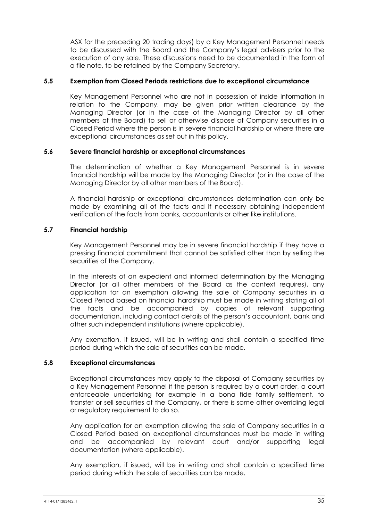ASX for the preceding 20 trading days) by a Key Management Personnel needs to be discussed with the Board and the Company's legal advisers prior to the execution of any sale. These discussions need to be documented in the form of a file note, to be retained by the Company Secretary.

#### **5.5 Exemption from Closed Periods restrictions due to exceptional circumstance**

Key Management Personnel who are not in possession of inside information in relation to the Company, may be given prior written clearance by the Managing Director (or in the case of the Managing Director by all other members of the Board) to sell or otherwise dispose of Company securities in a Closed Period where the person is in severe financial hardship or where there are exceptional circumstances as set out in this policy.

#### **5.6 Severe financial hardship or exceptional circumstances**

The determination of whether a Key Management Personnel is in severe financial hardship will be made by the Managing Director (or in the case of the Managing Director by all other members of the Board).

A financial hardship or exceptional circumstances determination can only be made by examining all of the facts and if necessary obtaining independent verification of the facts from banks, accountants or other like institutions.

# **5.7 Financial hardship**

Key Management Personnel may be in severe financial hardship if they have a pressing financial commitment that cannot be satisfied other than by selling the securities of the Company.

In the interests of an expedient and informed determination by the Managing Director (or all other members of the Board as the context requires), any application for an exemption allowing the sale of Company securities in a Closed Period based on financial hardship must be made in writing stating all of the facts and be accompanied by copies of relevant supporting documentation, including contact details of the person's accountant, bank and other such independent institutions (where applicable).

Any exemption, if issued, will be in writing and shall contain a specified time period during which the sale of securities can be made.

# **5.8 Exceptional circumstances**

Exceptional circumstances may apply to the disposal of Company securities by a Key Management Personnel if the person is required by a court order, a court enforceable undertaking for example in a bona fide family settlement, to transfer or sell securities of the Company, or there is some other overriding legal or regulatory requirement to do so.

Any application for an exemption allowing the sale of Company securities in a Closed Period based on exceptional circumstances must be made in writing and be accompanied by relevant court and/or supporting legal documentation (where applicable).

Any exemption, if issued, will be in writing and shall contain a specified time period during which the sale of securities can be made.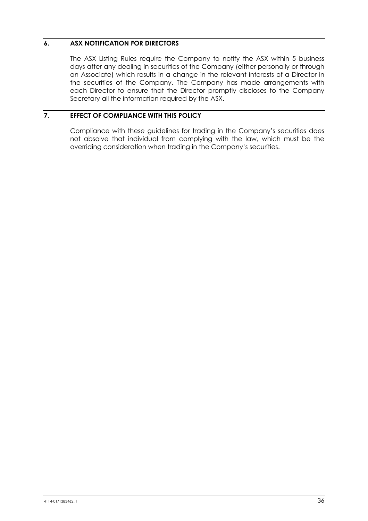# **6. ASX NOTIFICATION FOR DIRECTORS**

The ASX Listing Rules require the Company to notify the ASX within 5 business days after any dealing in securities of the Company (either personally or through an Associate) which results in a change in the relevant interests of a Director in the securities of the Company. The Company has made arrangements with each Director to ensure that the Director promptly discloses to the Company Secretary all the information required by the ASX.

# **7. EFFECT OF COMPLIANCE WITH THIS POLICY**

Compliance with these guidelines for trading in the Company's securities does not absolve that individual from complying with the law, which must be the overriding consideration when trading in the Company's securities.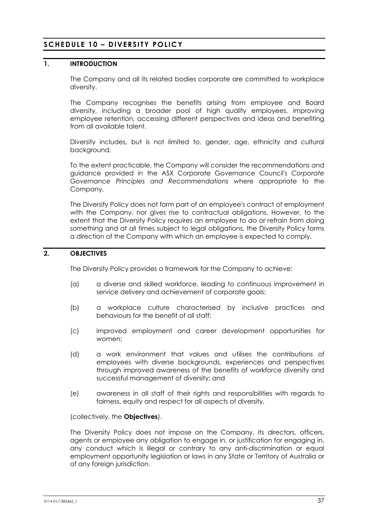# **SCHEDULE 10 – DIVERSITY POLICY**

# **1. INTRODUCTION**

The Company and all its related bodies corporate are committed to workplace diversity.

The Company recognises the benefits arising from employee and Board diversity, including a broader pool of high quality employees, improving employee retention, accessing different perspectives and ideas and benefiting from all available talent.

Diversity includes, but is not limited to, gender, age, ethnicity and cultural background.

To the extent practicable, the Company will consider the recommendations and guidance provided in the ASX Corporate Governance Council's *Corporate Governance Principles and Recommendations* where appropriate to the Company.

The Diversity Policy does not form part of an employee's contract of employment with the Company, nor gives rise to contractual obligations. However, to the extent that the Diversity Policy requires an employee to do or refrain from doing something and at all times subject to legal obligations, the Diversity Policy forms a direction of the Company with which an employee is expected to comply.

# **2. OBJECTIVES**

The Diversity Policy provides a framework for the Company to achieve:

- (a) a diverse and skilled workforce, leading to continuous improvement in service delivery and achievement of corporate goals;
- (b) a workplace culture characterised by inclusive practices and behaviours for the benefit of all staff;
- (c) improved employment and career development opportunities for women;
- (d) a work environment that values and utilises the contributions of employees with diverse backgrounds, experiences and perspectives through improved awareness of the benefits of workforce diversity and successful management of diversity; and
- (e) awareness in all staff of their rights and responsibilities with regards to fairness, equity and respect for all aspects of diversity,

(collectively, the **Objectives**).

The Diversity Policy does not impose on the Company, its directors, officers, agents or employee any obligation to engage in, or justification for engaging in, any conduct which is illegal or contrary to any anti-discrimination or equal employment opportunity legislation or laws in any State or Territory of Australia or of any foreign jurisdiction.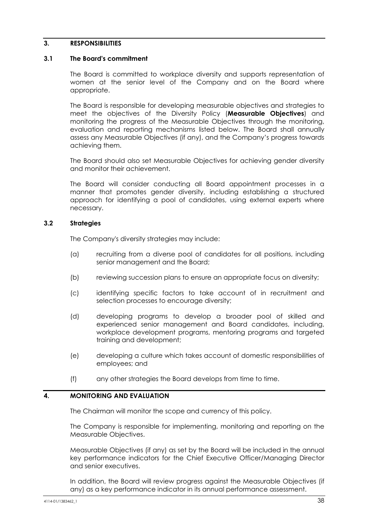# **3. RESPONSIBILITIES**

#### **3.1 The Board's commitment**

The Board is committed to workplace diversity and supports representation of women at the senior level of the Company and on the Board where appropriate.

The Board is responsible for developing measurable objectives and strategies to meet the objectives of the Diversity Policy (**Measurable Objectives**) and monitoring the progress of the Measurable Objectives through the monitoring, evaluation and reporting mechanisms listed below. The Board shall annually assess any Measurable Objectives (if any), and the Company's progress towards achieving them.

The Board should also set Measurable Objectives for achieving gender diversity and monitor their achievement.

The Board will consider conducting all Board appointment processes in a manner that promotes gender diversity, including establishing a structured approach for identifying a pool of candidates, using external experts where necessary.

#### **3.2 Strategies**

The Company's diversity strategies may include:

- (a) recruiting from a diverse pool of candidates for all positions, including senior management and the Board;
- (b) reviewing succession plans to ensure an appropriate focus on diversity;
- (c) identifying specific factors to take account of in recruitment and selection processes to encourage diversity;
- (d) developing programs to develop a broader pool of skilled and experienced senior management and Board candidates, including, workplace development programs, mentoring programs and targeted training and development;
- (e) developing a culture which takes account of domestic responsibilities of employees; and
- (f) any other strategies the Board develops from time to time.

#### **4. MONITORING AND EVALUATION**

The Chairman will monitor the scope and currency of this policy.

The Company is responsible for implementing, monitoring and reporting on the Measurable Objectives.

Measurable Objectives (if any) as set by the Board will be included in the annual key performance indicators for the Chief Executive Officer/Managing Director and senior executives.

In addition, the Board will review progress against the Measurable Objectives (if any) as a key performance indicator in its annual performance assessment.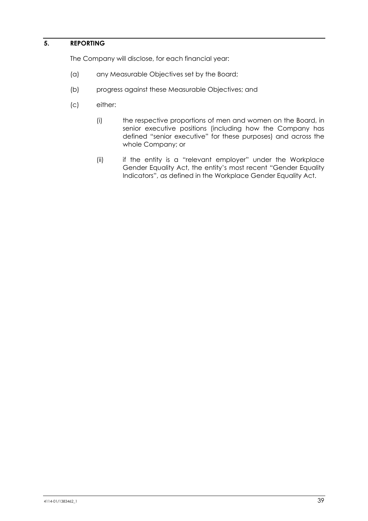# **5. REPORTING**

The Company will disclose, for each financial year:

- (a) any Measurable Objectives set by the Board;
- (b) progress against these Measurable Objectives; and
- (c) either:
	- (i) the respective proportions of men and women on the Board, in senior executive positions (including how the Company has defined "senior executive" for these purposes) and across the whole Company; or
	- (ii) if the entity is a "relevant employer" under the Workplace Gender Equality Act, the entity's most recent "Gender Equality Indicators", as defined in the Workplace Gender Equality Act.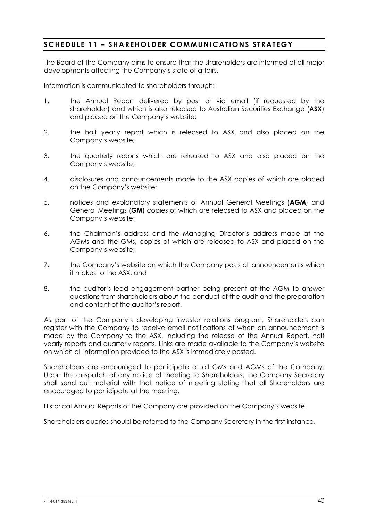# **SCHEDULE 11 – SHAREHOLDER COMMUNICATIONS STRATEGY**

The Board of the Company aims to ensure that the shareholders are informed of all major developments affecting the Company's state of affairs.

Information is communicated to shareholders through:

- 1. the Annual Report delivered by post or via email (if requested by the shareholder) and which is also released to Australian Securities Exchange (**ASX**) and placed on the Company's website;
- 2. the half yearly report which is released to ASX and also placed on the Company's website;
- 3. the quarterly reports which are released to ASX and also placed on the Company's website;
- 4. disclosures and announcements made to the ASX copies of which are placed on the Company's website;
- 5. notices and explanatory statements of Annual General Meetings (**AGM**) and General Meetings (**GM**) copies of which are released to ASX and placed on the Company's website;
- 6. the Chairman's address and the Managing Director's address made at the AGMs and the GMs, copies of which are released to ASX and placed on the Company's website;
- 7. the Company's website on which the Company posts all announcements which it makes to the ASX; and
- 8. the auditor's lead engagement partner being present at the AGM to answer questions from shareholders about the conduct of the audit and the preparation and content of the auditor's report.

As part of the Company's developing investor relations program, Shareholders can register with the Company to receive email notifications of when an announcement is made by the Company to the ASX, including the release of the Annual Report, half yearly reports and quarterly reports. Links are made available to the Company's website on which all information provided to the ASX is immediately posted.

Shareholders are encouraged to participate at all GMs and AGMs of the Company. Upon the despatch of any notice of meeting to Shareholders, the Company Secretary shall send out material with that notice of meeting stating that all Shareholders are encouraged to participate at the meeting.

Historical Annual Reports of the Company are provided on the Company's website.

Shareholders queries should be referred to the Company Secretary in the first instance.